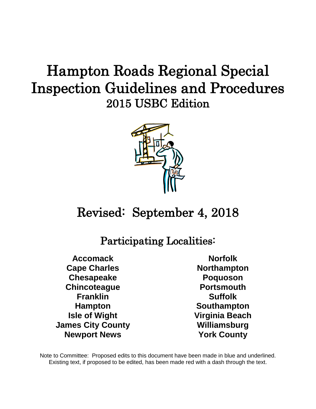# Hampton Roads Regional Special Inspection Guidelines and Procedures 2015 USBC Edition



## Revised: September 4, 2018

## Participating Localities:

**Accomack Cape Charles Chesapeake Chincoteague Franklin Hampton Isle of Wight James City County Newport News**

**Norfolk Northampton Poquoson Portsmouth Suffolk Southampton Virginia Beach Williamsburg York County**

Note to Committee: Proposed edits to this document have been made in blue and underlined. Existing text, if proposed to be edited, has been made red with a dash through the text.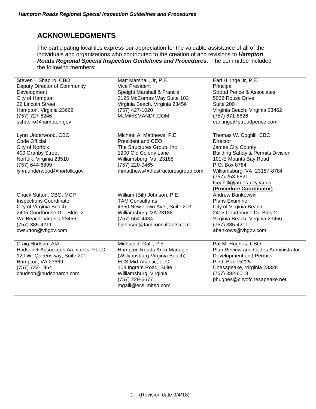## **ACKNOWLEDGMENTS**

The participating localities express our appreciation for the valuable assistance of all of the individuals and organizations who contributed to the creation of and revisions to *Hampton Roads Regional Special Inspection Guidelines and Procedures*. The committee included the following members:

| Steven I. Shapiro, CBO<br>Deputy Director of Community<br>Development<br>City of Hampton<br>22 Lincoln Street<br>Hampton, Virginia 23669<br>(757) 727-6246<br>sshapiro@hampton.gov      | Matt Marshall, Jr, P.E.<br><b>Vice President</b><br>Speight Marshall & Francis<br>2125 McComas Way Suite 103<br>Virginia Beach, Virginia 23456<br>(757) 427-1020<br>MJM@SMANDF.COM                                     | Earl H. Inge Jr, P.E.<br>Principal<br><b>Stroud Pence &amp; Associates</b><br>5032 Rouse Drive<br>Suite 200<br>Virginia Beach, Virginia 23462<br>(757) 671-8626<br>earl.inge@stroudpence.com                                                                       |
|-----------------------------------------------------------------------------------------------------------------------------------------------------------------------------------------|------------------------------------------------------------------------------------------------------------------------------------------------------------------------------------------------------------------------|--------------------------------------------------------------------------------------------------------------------------------------------------------------------------------------------------------------------------------------------------------------------|
| Lynn Underwood, CBO<br><b>Code Official</b><br>City of Norfolk<br>400 Granby Street<br>Norfolk, Virginia 23510<br>(757) 644-6899<br>lynn.underwood@norfolk.gov                          | Michael A. Matthews, P.E.<br>President and CEO<br>The Structures Group, Inc<br>1200 Old Colony Lane<br>Williamsburg, Va. 23185<br>(757) 220-0465<br>mmatthews@thestructuresgroup.com                                   | Thomas W. Coghill, CBO<br><b>Director</b><br>James City County<br><b>Building Safety &amp; Permits Division</b><br>101-E Mounts Bay Road<br>P.O. Box 8784<br>Williamsburg, VA 23187-8784<br>(757) 253-6821<br>tcoghill@james-city.va.us<br>(Procedure Coordinator) |
| Chuck Sutton, CBO, MCP<br><b>Inspections Coordinator</b><br>City of Virginia Beach<br>2405 Courthouse Dr., Bldg. 2<br>Va. Beach, Virginia 23456<br>(757) 385-4211<br>cwsutton@vbgov.com | William (Bill) Johnson, P.E.<br><b>TAM Consultants</b><br>4350 New Town Ave., Suite 203<br>Williamsburg, VA 23188<br>(757) 564-4434<br>bjohnson@tamconsultants.com                                                     | Andrew Bankowski<br><b>Plans Examiner</b><br>City of Virginia Beach<br>2405 Courthouse Dr. Bldg 2<br>Virginia Beach, Virginia 23456<br>(757) 385-4211<br>abankows@vbgov.com                                                                                        |
| Craig Hudson, AIA<br>Hudson + Associates Architects, PLLC<br>120 W. Queensway, Suite 201<br>Hampton, VA 23669<br>(757) 722-1964<br>chudson@hudsonarch.com                               | Michael J. Galli, P.E.<br>Hampton Roads Area Manager<br>(Williamsburg-Virginia Beach)<br><b>ECS Mid-Atlantic, LLC</b><br>108 Ingram Road, Suite 1<br>Williamsburg, Virginia<br>(757) 229-6677<br>mgalli@ecslimited.com | Pat M. Hughes, CBO<br>Plan Review and Codes Administrator<br>Development and Permits<br>P. O. Box 15225<br>Chesapeake, Virginia 23328<br>(757) 382-6018<br>phughes@cityofchesapeake.net                                                                            |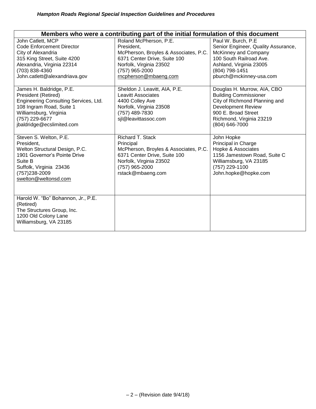|                                                                                                                                                                                               | Members who were a contributing part of the initial formulation of this document                                                                                                    |                                                                                                                                                                                                |
|-----------------------------------------------------------------------------------------------------------------------------------------------------------------------------------------------|-------------------------------------------------------------------------------------------------------------------------------------------------------------------------------------|------------------------------------------------------------------------------------------------------------------------------------------------------------------------------------------------|
| John Catlett, MCP<br><b>Code Enforcement Director</b><br>City of Alexandria<br>315 King Street, Suite 4200<br>Alexandria, Virginia 22314<br>(703) 838-4360<br>John.catlett@alexandriava.gov   | Roland McPherson, P.E.<br>President.<br>McPherson, Broyles & Associates, P.C.<br>6371 Center Drive, Suite 100<br>Norfolk, Virginia 23502<br>(757) 965-2000<br>rncpherson@mbaeng.com | Paul W. Burch, P.E.<br>Senior Engineer, Quality Assurance,<br>McKinney and Company<br>100 South Railroad Ave.<br>Ashland, Virginia 23005<br>(804) 798-1451<br>pburch@mckinney-usa.com          |
| James H. Baldridge, P.E.<br>President (Retired)<br>Engineering Consulting Services, Ltd.<br>108 Ingram Road, Suite 1<br>Williamsburg, Virginia<br>(757) 229-6677<br>jbaldridge@ecslimited.com | Sheldon J. Leavitt, AIA, P.E.<br><b>Leavitt Associates</b><br>4400 Colley Ave<br>Norfolk, Virginia 23508<br>(757) 489-7830<br>sil@leavittassoc.com                                  | Douglas H. Murrow, AIA, CBO<br><b>Building Commissioner</b><br>City of Richmond Planning and<br><b>Development Review</b><br>900 E. Broad Street<br>Richmond, Virginia 23219<br>(804) 646-7000 |
| Steven S. Welton, P.E.<br>President,<br>Welton Structural Design, P.C.<br>1901 Governor's Pointe Drive<br>Suite B<br>Suffolk, Virginia 23436<br>(757) 238-2009<br>swelton@weltonsd.com        | Richard T. Stack<br>Principal<br>McPherson, Broyles & Associates, P.C.<br>6371 Center Drive, Suite 100<br>Norfolk, Virginia 23502<br>(757) 965-2000<br>rstack@mbaeng.com            | John Hopke<br>Principal in Charge<br>Hopke & Associates<br>1156 Jamestown Road, Suite C<br>Williamsburg, VA 23185<br>(757) 229-1100<br>John.hopke@hopke.com                                    |
| Harold W. "Bo" Bohannon, Jr., P.E.<br>(Retired)<br>The Structures Group, Inc.<br>1200 Old Colony Lane<br>Williamsburg, VA 23185                                                               |                                                                                                                                                                                     |                                                                                                                                                                                                |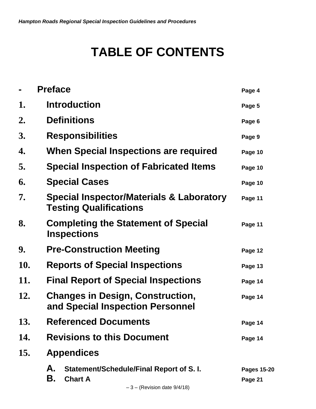## **TABLE OF CONTENTS**

|     | <b>Preface</b>                                                                                                                    | Page 4                        |
|-----|-----------------------------------------------------------------------------------------------------------------------------------|-------------------------------|
| 1.  | <b>Introduction</b>                                                                                                               | Page 5                        |
| 2.  | <b>Definitions</b>                                                                                                                | Page 6                        |
| 3.  | <b>Responsibilities</b>                                                                                                           | Page 9                        |
| 4.  | When Special Inspections are required                                                                                             | Page 10                       |
| 5.  | <b>Special Inspection of Fabricated Items</b>                                                                                     | Page 10                       |
| 6.  | <b>Special Cases</b>                                                                                                              | Page 10                       |
| 7.  | Special Inspector/Materials & Laboratory<br><b>Testing Qualifications</b>                                                         | Page 11                       |
| 8.  | <b>Completing the Statement of Special</b><br><b>Inspections</b>                                                                  | Page 11                       |
| 9.  | <b>Pre-Construction Meeting</b>                                                                                                   | Page 12                       |
| 10. | <b>Reports of Special Inspections</b>                                                                                             | Page 13                       |
| 11. | <b>Final Report of Special Inspections</b>                                                                                        | Page 14                       |
| 12. | <b>Changes in Design, Construction,</b><br>and Special Inspection Personnel                                                       | Page 14                       |
| 13. | <b>Referenced Documents</b>                                                                                                       | Page 14                       |
| 14. | <b>Revisions to this Document</b>                                                                                                 | Page 14                       |
| 15. | <b>Appendices</b>                                                                                                                 |                               |
|     | А.<br>Statement/Schedule/Final Report of S.I.<br>В.<br><b>Chart A</b><br>$(D_n, \text{data} \land \text{data} \land (A \land A))$ | <b>Pages 15-20</b><br>Page 21 |
|     |                                                                                                                                   |                               |

 $-3$  – (Revision date  $9/4/18$ )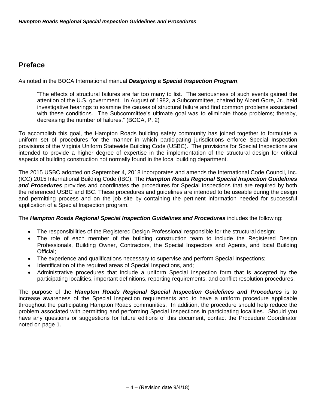## **Preface**

As noted in the BOCA International manual *Designing a Special Inspection Program*,

"The effects of structural failures are far too many to list. The seriousness of such events gained the attention of the U.S. government. In August of 1982, a Subcommittee, chaired by Albert Gore, Jr., held investigative hearings to examine the causes of structural failure and find common problems associated with these conditions. The Subcommittee's ultimate goal was to eliminate those problems; thereby, decreasing the number of failures." (BOCA, P. 2)

To accomplish this goal, the Hampton Roads building safety community has joined together to formulate a uniform set of procedures for the manner in which participating jurisdictions enforce Special Inspection provisions of the Virginia Uniform Statewide Building Code (USBC). The provisions for Special Inspections are intended to provide a higher degree of expertise in the implementation of the structural design for critical aspects of building construction not normally found in the local building department.

The 2015 USBC adopted on September 4, 2018 incorporates and amends the International Code Council, Inc. (ICC) 2015 International Building Code (IBC). The *Hampton Roads Regional Special Inspection Guidelines*  and Procedures provides and coordinates the procedures for Special Inspections that are required by both the referenced USBC and IBC. These procedures and guidelines are intended to be useable during the design and permitting process and on the job site by containing the pertinent information needed for successful application of a Special Inspection program.

#### The *Hampton Roads Regional Special Inspection Guidelines and Procedures* includes the following:

- The responsibilities of the Registered Design Professional responsible for the structural design;
- The role of each member of the building construction team to include the Registered Design Professionals, Building Owner, Contractors, the Special Inspectors and Agents, and local Building Official;
- The experience and qualifications necessary to supervise and perform Special Inspections;
- Identification of the required areas of Special Inspections, and;
- Administrative procedures that include a uniform Special Inspection form that is accepted by the participating localities, important definitions, reporting requirements, and conflict resolution procedures.

The purpose of the *Hampton Roads Regional Special Inspection Guidelines and Procedures* is to increase awareness of the Special Inspection requirements and to have a uniform procedure applicable throughout the participating Hampton Roads communities. In addition, the procedure should help reduce the problem associated with permitting and performing Special Inspections in participating localities. Should you have any questions or suggestions for future editions of this document, contact the Procedure Coordinator noted on page 1.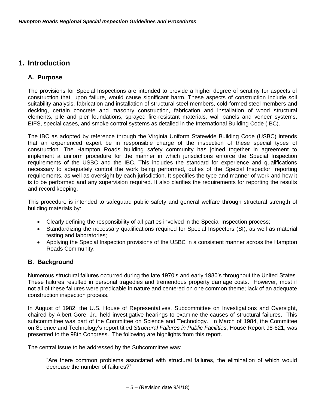### **1. Introduction**

#### **A. Purpose**

The provisions for Special Inspections are intended to provide a higher degree of scrutiny for aspects of construction that, upon failure, would cause significant harm. These aspects of construction include soil suitability analysis, fabrication and installation of structural steel members, cold-formed steel members and decking, certain concrete and masonry construction, fabrication and installation of wood structural elements, pile and pier foundations, sprayed fire-resistant materials, wall panels and veneer systems, EIFS, special cases, and smoke control systems as detailed in the International Building Code (IBC).

The IBC as adopted by reference through the Virginia Uniform Statewide Building Code (USBC) intends that an experienced expert be in responsible charge of the inspection of these special types of construction. The Hampton Roads building safety community has joined together in agreement to implement a uniform procedure for the manner in which jurisdictions enforce the Special Inspection requirements of the USBC and the IBC. This includes the standard for experience and qualifications necessary to adequately control the work being performed, duties of the Special Inspector, reporting requirements, as well as oversight by each jurisdiction. It specifies the type and manner of work and how it is to be performed and any supervision required. It also clarifies the requirements for reporting the results and record keeping.

This procedure is intended to safeguard public safety and general welfare through structural strength of building materials by:

- Clearly defining the responsibility of all parties involved in the Special Inspection process;
- Standardizing the necessary qualifications required for Special Inspectors (SI), as well as material testing and laboratories;
- Applying the Special Inspection provisions of the USBC in a consistent manner across the Hampton Roads Community.

#### **B. Background**

Numerous structural failures occurred during the late 1970's and early 1980's throughout the United States. These failures resulted in personal tragedies and tremendous property damage costs. However, most if not all of these failures were predicable in nature and centered on one common theme; lack of an adequate construction inspection process.

In August of 1982, the U.S. House of Representatives, Subcommittee on Investigations and Oversight, chaired by Albert Gore, Jr., held investigative hearings to examine the causes of structural failures. This subcommittee was part of the Committee on Science and Technology. In March of 1984, the Committee on Science and Technology's report titled *Structural Failures in Public Facilities*, House Report 98-621, was presented to the 98th Congress. The following are highlights from this report.

The central issue to be addressed by the Subcommittee was:

"Are there common problems associated with structural failures, the elimination of which would decrease the number of failures?"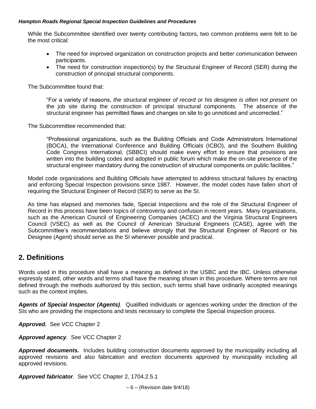While the Subcommittee identified over twenty contributing factors, two common problems were felt to be the most critical:

- The need for improved organization on construction projects and better communication between participants.
- The need for construction inspection(s) by the Structural Engineer of Record (SER) during the construction of principal structural components.

The Subcommittee found that:

"For a variety of reasons, *the structural engineer of record or his designee is often not present* on the job site during the construction of principal structural components. The absence of the structural engineer has permitted flaws and changes on site to go unnoticed and uncorrected."

The Subcommittee recommended that:

"Professional organizations, such as the Building Officials and Code Administrators International (BOCA), the International Conference and Building Officials (ICBO), and the Southern Building Code Congress International, (SBBCI) should make every effort to ensure that provisions are written into the building codes and adopted in public forum which make the on-site presence of the structural engineer mandatory during the construction of structural components on public facilities."

Model code organizations and Building Officials have attempted to address structural failures by enacting and enforcing Special Inspection provisions since 1987. However, the model codes have fallen short of requiring the Structural Engineer of Record (SER) to serve as the SI.

As time has elapsed and memories fade, Special Inspections and the role of the Structural Engineer of Record in this process have been topics of controversy and confusion in recent years. Many organizations, such as the American Council of Engineering Companies (ACEC) and the Virginia Structural Engineers Council (VSEC) as well as the Council of American Structural Engineers (CASE), agree with the Subcommittee's recommendations and believe strongly that the Structural Engineer of Record or his Designee (Agent) should serve as the SI whenever possible and practical.

### **2. Definitions**

Words used in this procedure shall have a meaning as defined in the USBC and the IBC. Unless otherwise expressly stated, other words and terms shall have the meaning shown in this procedure. Where terms are not defined through the methods authorized by this section, such terms shall have ordinarily accepted meanings such as the context implies.

*Agents of Special Inspector (Agents).* Qualified individuals or agencies working under the direction of the SIs who are providing the inspections and tests necessary to complete the Special Inspection process.

*Approved.* See VCC Chapter 2

*Approved agency.*See VCC Chapter 2

*Approved documents.* Includes building construction documents approved by the municipality including all approved revisions and also fabrication and erection documents approved by municipality including all approved revisions.

*Approved fabricator.* See VCC Chapter 2, 1704.2.5.1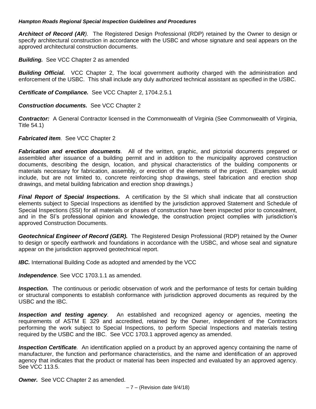*Architect of Record (AR).* The Registered Design Professional (RDP) retained by the Owner to design or specify architectural construction in accordance with the USBC and whose signature and seal appears on the approved architectural construction documents.

*Building.* See VCC Chapter 2 as amended

**Building Official.** VCC Chapter 2, The local government authority charged with the administration and enforcement of the USBC. This shall include any duly authorized technical assistant as specified in the USBC.

*Certificate of Compliance.* See VCC Chapter 2, 1704.2.5.1

*Construction documents.* See VCC Chapter 2

*Contractor:*A General Contractor licensed in the Commonwealth of Virginia (See Commonwealth of Virginia, Title 54.1)

#### *Fabricated item.*See VCC Chapter 2

*Fabrication and erection documents.*All of the written, graphic, and pictorial documents prepared or assembled after issuance of a building permit and in addition to the municipality approved construction documents, describing the design, location, and physical characteristics of the building components or materials necessary for fabrication, assembly, or erection of the elements of the project. (Examples would include, but are not limited to, concrete reinforcing shop drawings, steel fabrication and erection shop drawings, and metal building fabrication and erection shop drawings.)

*Final Report of Special Inspections***.** A certification by the SI which shall indicate that all construction elements subject to Special Inspections as identified by the jurisdiction approved Statement and Schedule of Special Inspections (SSI) for all materials or phases of construction have been inspected prior to concealment, and in the SI's professional opinion and knowledge, the construction project complies with jurisdiction's approved Construction Documents.

*Geotechnical Engineer of Record (GER).* The Registered Design Professional (RDP) retained by the Owner to design or specify earthwork and foundations in accordance with the USBC, and whose seal and signature appear on the jurisdiction approved geotechnical report.

**IBC.** International Building Code as adopted and amended by the VCC

*Independence*. See VCC 1703.1.1 as amended.

*Inspection.* The continuous or periodic observation of work and the performance of tests for certain building or structural components to establish conformance with jurisdiction approved documents as required by the USBC and the IBC.

*Inspection and testing agency.*An established and recognized agency or agencies, meeting the requirements of ASTM E 329 and accredited, retained by the Owner, independent of the Contractors performing the work subject to Special Inspections, to perform Special Inspections and materials testing required by the USBC and the IBC. See VCC 1703.1 approved agency as amended.

*Inspection Certificate.*An identification applied on a product by an approved agency containing the name of manufacturer, the function and performance characteristics, and the name and identification of an approved agency that indicates that the product or material has been inspected and evaluated by an approved agency. See VCC 113.5.

*Owner.* See VCC Chapter 2 as amended.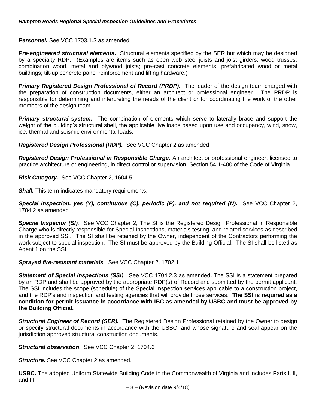#### *Personnel.* See VCC 1703.1.3 as amended

**Pre-engineered structural elements.** Structural elements specified by the SER but which may be designed by a specialty RDP. (Examples are items such as open web steel joists and joist girders; wood trusses; combination wood, metal and plywood joists; pre-cast concrete elements; prefabricated wood or metal buildings; tilt-up concrete panel reinforcement and lifting hardware.)

*Primary Registered Design Professional of Record (PRDP).* The leader of the design team charged with the preparation of construction documents, either an architect or professional engineer. The PRDP is responsible for determining and interpreting the needs of the client or for coordinating the work of the other members of the design team.

*Primary structural system.*The combination of elements which serve to laterally brace and support the weight of the building's structural shell, the applicable live loads based upon use and occupancy, wind, snow, ice, thermal and seismic environmental loads.

*Registered Design Professional (RDP).*See VCC Chapter 2 as amended

*Registered Design Professional in Responsible Charge*. An architect or professional engineer, licensed to practice architecture or engineering, in direct control or supervision. Section 54.1-400 of the Code of Virginia

*Risk Category.* See VCC Chapter 2, 1604.5

*Shall.* This term indicates mandatory requirements.

*Special Inspection, yes (Y), continuous (C), periodic (P), and not required (N)***.** See VCC Chapter 2, 1704.2 as amended

*Special Inspector (SI).* See VCC Chapter 2, The SI is the Registered Design Professional in Responsible Charge who is directly responsible for Special Inspections, materials testing, and related services as described in the approved SSI. The SI shall be retained by the Owner, independent of the Contractors performing the work subject to special inspection. The SI must be approved by the Building Official. The SI shall be listed as Agent 1 on the SSI.

#### *Sprayed fire-resistant materials.* See VCC Chapter 2, 1702.1

**Statement of Special Inspections (SSI**). See VCC 1704.2.3 as amended. The SSI is a statement prepared by an RDP and shall be approved by the appropriate RDP(s) of Record and submitted by the permit applicant. The SSI includes the scope (schedule) of the Special Inspection services applicable to a construction project, and the RDP's and inspection and testing agencies that will provide those services. **The SSI is required as a condition for permit issuance in accordance with IBC as amended by USBC and must be approved by the Building Official.**

*Structural Engineer of Record (SER).* The Registered Design Professional retained by the Owner to design or specify structural documents in accordance with the USBC, and whose signature and seal appear on the jurisdiction approved structural construction documents.

*Structural observation***.** See VCC Chapter 2, 1704.6

*Structure***.** See VCC Chapter 2 as amended.

**USBC.** The adopted Uniform Statewide Building Code in the Commonwealth of Virginia and includes Parts I, II, and III.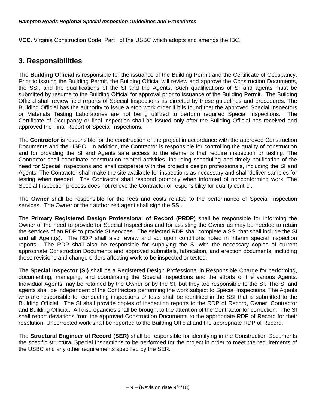**VCC.** Virginia Construction Code, Part I of the USBC which adopts and amends the IBC.

## **3. Responsibilities**

The **Building Official** is responsible for the issuance of the Building Permit and the Certificate of Occupancy. Prior to issuing the Building Permit, the Building Official will review and approve the Construction Documents, the SSI, and the qualifications of the SI and the Agents. Such qualifications of SI and agents must be submitted by resume to the Building Official for approval prior to issuance of the Building Permit. The Building Official shall review field reports of Special Inspections as directed by these guidelines and procedures. The Building Official has the authority to issue a stop work order if it is found that the approved Special Inspectors or Materials Testing Laboratories are not being utilized to perform required Special Inspections. The Certificate of Occupancy or final inspection shall be issued only after the Building Official has received and approved the Final Report of Special Inspections.

The **Contractor** is responsible for the construction of the project in accordance with the approved Construction Documents and the USBC. In addition, the Contractor is responsible for controlling the quality of construction and for providing the SI and Agents safe access to the elements that require inspection or testing. The Contractor shall coordinate construction related activities, including scheduling and timely notification of the need for Special Inspections and shall cooperate with the project's design professionals, including the SI and Agents. The Contractor shall make the site available for inspections as necessary and shall deliver samples for testing when needed. The Contractor shall respond promptly when informed of nonconforming work. The Special Inspection process does not relieve the Contractor of responsibility for quality control.

The **Owner** shall be responsible for the fees and costs related to the performance of Special Inspection services. The Owner or their authorized agent shall sign the SSI.

The **Primary Registered Design Professional of Record (PRDP)** shall be responsible for informing the Owner of the need to provide for Special Inspections and for assisting the Owner as may be needed to retain the services of an RDP to provide SI services. The selected RDP shall complete a SSI that shall include the SI and all Agent(s). The RDP shall also review and act upon conditions noted in interim special inspection reports.The RDP shall also be responsible for supplying the SI with the necessary copies of current appropriate Construction Documents and approved submittals, fabrication, and erection documents, including those revisions and change orders affecting work to be inspected or tested.

The **Special Inspector (SI)** shall be a Registered Design Professional in Responsible Charge for performing, documenting, managing, and coordinating the Special Inspections and the efforts of the various Agents. Individual Agents may be retained by the Owner or by the SI, but they are responsible to the SI. The SI and agents shall be independent of the Contractors performing the work subject to Special Inspections. The Agents who are responsible for conducting inspections or tests shall be identified in the SSI that is submitted to the Building Official. The SI shall provide copies of inspection reports to the RDP of Record, Owner, Contractor and Building Official. All discrepancies shall be brought to the attention of the Contractor for correction. The SI shall report deviations from the approved Construction Documents to the appropriate RDP of Record for their resolution. Uncorrected work shall be reported to the Building Official and the appropriate RDP of Record.

The **Structural Engineer of Record (SER)** shall be responsible for identifying in the Construction Documents the specific structural Special Inspections to be performed for the project in order to meet the requirements of the USBC and any other requirements specified by the SER.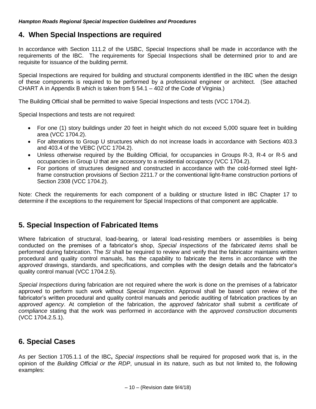### **4. When Special Inspections are required**

In accordance with Section 111.2 of the USBC, Special Inspections shall be made in accordance with the requirements of the IBC. The requirements for Special Inspections shall be determined prior to and are requisite for issuance of the building permit.

Special Inspections are required for building and structural components identified in the IBC when the design of these components is required to be performed by a professional engineer or architect. (See attached CHART A in Appendix B which is taken from § 54.1 – 402 of the Code of Virginia.)

The Building Official shall be permitted to waive Special Inspections and tests (VCC 1704.2).

Special Inspections and tests are not required:

- For one (1) story buildings under 20 feet in height which do not exceed 5,000 square feet in building area (VCC 1704.2).
- For alterations to Group U structures which do not increase loads in accordance with Sections 403.3 and 403.4 of the VEBC (VCC 1704.2).
- Unless otherwise required by the Building Official, for occupancies in Groups R-3, R-4 or R-5 and occupancies in Group U that are accessory to a residential occupancy (VCC 1704.2).
- For portions of structures designed and constructed in accordance with the cold-formed steel lightframe construction provisions of Section 2211.7 or the conventional light-frame construction portions of Section 2308 (VCC 1704.2).

Note: Check the requirements for each component of a building or structure listed in IBC Chapter 17 to determine if the exceptions to the requirement for Special Inspections of that component are applicable.

## **5. Special Inspection of Fabricated Items**

Where fabrication of structural, load-bearing, or lateral load-resisting members or assemblies is being conducted on the premises of a fabricator's shop, *Special Inspections* of the *fabricated items* shall be performed during fabrication. The *SI* shall be required to review and verify that the fabricator maintains written procedural and quality control manuals, has the capability to fabricate the items in accordance with the *approved* drawings, standards, and specifications, and complies with the design details and the fabricator's quality control manual (VCC 1704.2.5).

*Special Inspections* during fabrication are not required where the work is done on the premises of a fabricator approved to perform such work without *Special Inspection*. Approval shall be based upon review of the fabricator's written procedural and quality control manuals and periodic auditing of fabrication practices by an *approved agency*. At completion of the fabrication, the *approved fabricator* shall submit a *certificate of compliance* stating that the work was performed in accordance with the *approved construction documents* (VCC 1704.2.5.1).

### **6. Special Cases**

As per Section 1705.1.1 of the IBC**,** *Special Inspections* shall be required for proposed work that is, in the opinion of the *Building Official or the RDP*, unusual in its nature, such as but not limited to, the following examples: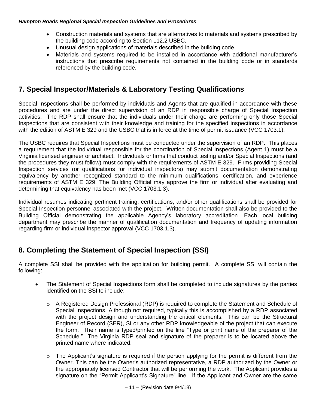- Construction materials and systems that are alternatives to materials and systems prescribed by the building code according to Section 112.2 USBC.
- Unusual design applications of materials described in the building code.
- Materials and systems required to be installed in accordance with additional manufacturer's instructions that prescribe requirements not contained in the building code or in standards referenced by the building code.

## **7. Special Inspector/Materials & Laboratory Testing Qualifications**

Special Inspections shall be performed by individuals and Agents that are qualified in accordance with these procedures and are under the direct supervision of an RDP in responsible charge of Special Inspection activities. The RDP shall ensure that the individuals under their charge are performing only those Special Inspections that are consistent with their knowledge and training for the specified inspections in accordance with the edition of ASTM E 329 and the USBC that is in force at the time of permit issuance (VCC 1703.1).

The USBC requires that Special Inspections must be conducted under the supervision of an RDP. This places a requirement that the individual responsible for the coordination of Special Inspections (Agent 1) must be a Virginia licensed engineer or architect. Individuals or firms that conduct testing and/or Special Inspections (and the procedures they must follow) must comply with the requirements of ASTM E 329. Firms providing Special Inspection services (or qualifications for individual inspectors) may submit documentation demonstrating equivalency by another recognized standard to the minimum qualifications, certification, and experience requirements of ASTM E 329. The Building Official may approve the firm or individual after evaluating and determining that equivalency has been met (VCC 1703.1.3).

Individual resumes indicating pertinent training, certifications, and/or other qualifications shall be provided for Special Inspection personnel associated with the project. Written documentation shall also be provided to the Building Official demonstrating the applicable Agency's laboratory accreditation. Each local building department may prescribe the manner of qualification documentation and frequency of updating information regarding firm or individual inspector approval (VCC 1703.1.3).

## **8. Completing the Statement of Special Inspection (SSI)**

A complete SSI shall be provided with the application for building permit. A complete SSI will contain the following:

- The Statement of Special Inspections form shall be completed to include signatures by the parties identified on the SSI to include:
	- o A Registered Design Professional (RDP) is required to complete the Statement and Schedule of Special Inspections. Although not required, typically this is accomplished by a RDP associated with the project design and understanding the critical elements. This can be the Structural Engineer of Record (SER), SI or any other RDP knowledgeable of the project that can execute the form. Their name is typed/printed on the line "Type or print name of the preparer of the Schedule." The Virginia RDP seal and signature of the preparer is to be located above the printed name where indicated.
	- $\circ$  The Applicant's signature is required if the person applying for the permit is different from the Owner. This can be the Owner's authorized representative, a RDP authorized by the Owner or the appropriately licensed Contractor that will be performing the work. The Applicant provides a signature on the "Permit Applicant's Signature" line. If the Applicant and Owner are the same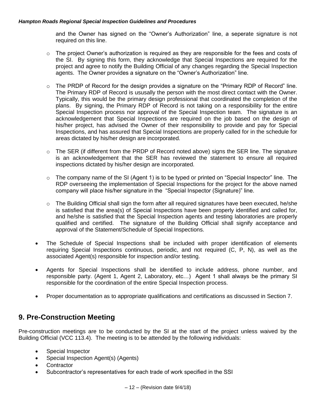and the Owner has signed on the "Owner's Authorization" line, a seperate signature is not required on this line.

- $\circ$  The project Owner's authorization is required as they are responsible for the fees and costs of the SI. By signing this form, they acknowledge that Special Inspections are required for the project and agree to notify the Building Official of any changes regarding the Special Inspection agents. The Owner provides a signature on the "Owner's Authorization" line.
- $\circ$  The PRDP of Record for the design provides a signature on the "Primary RDP of Record" line. The Primary RDP of Record is ususally the person with the most direct contact with the Owner. Typically, this would be the primary design professional that coordinated the completion of the plans. By signing, the Primary RDP of Record is not taking on a responsibility for the entire Special Inspection process nor approval of the Special Inspection team. The signature is an acknowledgement that Special Inspections are required on the job based on the design of his/her project, has advised the Owner of their responsibility to provide and pay for Special Inspections, and has assured that Special Inspections are properly called for in the schedule for areas dictated by his/her design are incorporated.
- $\circ$  The SER (if different from the PRDP of Record noted above) signs the SER line. The signature is an acknowledgement that the SER has reviewed the statement to ensure all required inspections dictated by his/her design are incorporated.
- $\circ$  The company name of the SI (Agent 1) is to be typed or printed on "Special Inspector" line. The RDP overseeing the implementation of Special Inspections for the project for the above named company will place his/her signature in the "Special Inspector (Signature)" line.
- $\circ$  The Building Official shall sign the form after all required signatures have been executed, he/she is satisfied that the area(s) of Special Inspections have been properly identified and called for, and he/she is satisfied that the Special Inspection agents and testing laboratories are properly qualified and certified. The signature of the Building Official shall signify acceptance and approval of the Statement/Schedule of Special Inspections.
- The Schedule of Special Inspections shall be included with proper identification of elements requiring Special Inspections continuous, periodic, and not required (C, P, N), as well as the associated Agent(s) responsible for inspection and/or testing.
- Agents for Special Inspections shall be identified to include address, phone number, and responsible party. (Agent 1, Agent 2, Laboratory, etc…) Agent 1 shall always be the primary SI responsible for the coordination of the entire Special Inspection process.
- Proper documentation as to appropriate qualifications and certifications as discussed in Section 7.

## **9. Pre-Construction Meeting**

Pre-construction meetings are to be conducted by the SI at the start of the project unless waived by the Building Official (VCC 113.4). The meeting is to be attended by the following individuals:

- Special Inspector
- Special Inspection Agent(s) (Agents)
- **Contractor**
- Subcontractor's representatives for each trade of work specified in the SSI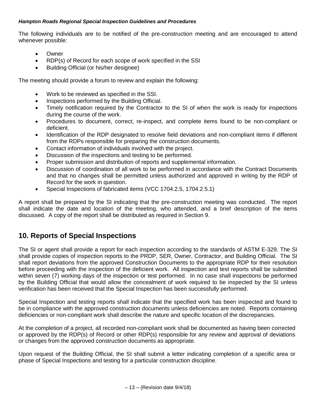The following individuals are to be notified of the pre-construction meeting and are encouraged to attend whenever possible:

- Owner
- RDP(s) of Record for each scope of work specified in the SSI
- Building Official (or his/her designee)

The meeting should provide a forum to review and explain the following:

- Work to be reviewed as specified in the SSI.
- Inspections performed by the Building Official.
- Timely notification required by the Contractor to the SI of when the work is ready for inspections during the course of the work.
- Procedures to document, correct, re-inspect, and complete items found to be non-compliant or deficient.
- Identification of the RDP designated to resolve field deviations and non-compliant items if different from the RDPs responsible for preparing the construction documents.
- Contact information of individuals involved with the project.
- Discussion of the inspections and testing to be performed.
- Proper submission and distribution of reports and supplemental information.
- Discussion of coordination of all work to be performed in accordance with the Contract Documents and that no changes shall be permitted unless authorized and approved in writing by the RDP of Record for the work in question.
- Special Inspections of fabricated items (VCC 1704.2.5, 1704.2.5.1)

A report shall be prepared by the SI indicating that the pre-construction meeting was conducted. The report shall indicate the date and location of the meeting, who attended, and a brief description of the items discussed. A copy of the report shall be distributed as required in Section 9.

## **10. Reports of Special Inspections**

The SI or agent shall provide a report for each inspection according to the standards of ASTM E-329. The SI shall provide copies of inspection reports to the PRDP, SER, Owner, Contractor, and Building Official. The SI shall report deviations from the approved Construction Documents to the appropriate RDP for their resolution before proceeding with the inspection of the deficient work. All inspection and test reports shall be submitted within seven (7) working days of the inspection or test performed. In no case shall inspections be performed by the Building Official that would allow the concealment of work required to be inspected by the SI unless verification has been received that the Special Inspection has been successfully performed.

Special Inspection and testing reports shall indicate that the specified work has been inspected and found to be in compliance with the approved construction documents unless deficiencies are noted. Reports containing deficiencies or non-compliant work shall describe the nature and specific location of the discrepancies.

At the completion of a project, all recorded non-compliant work shall be documented as having been corrected or approved by the RDP(s) of Record or other RDP(s) responsible for any review and approval of deviations or changes from the approved construction documents as appropriate.

Upon request of the Building Official, the SI shall submit a letter indicating completion of a specific area or phase of Special Inspections and testing for a particular construction discipline.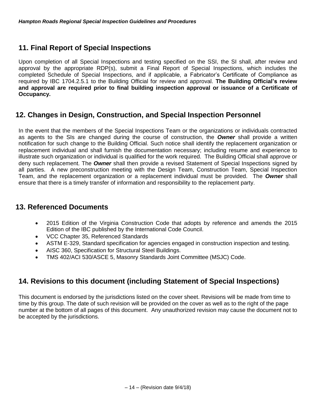## **11. Final Report of Special Inspections**

Upon completion of all Special Inspections and testing specified on the SSI, the SI shall, after review and approval by the appropriate RDP(s), submit a Final Report of Special Inspections, which includes the completed Schedule of Special Inspections, and if applicable, a Fabricator's Certificate of Compliance as required by IBC 1704.2.5.1 to the Building Official for review and approval. **The Building Official's review and approval are required prior to final building inspection approval or issuance of a Certificate of Occupancy.**

## **12. Changes in Design, Construction, and Special Inspection Personnel**

In the event that the members of the Special Inspections Team or the organizations or individuals contracted as agents to the SIs are changed during the course of construction, the *Owner* shall provide a written notification for such change to the Building Official. Such notice shall identify the replacement organization or replacement individual and shall furnish the documentation necessary; including resume and experience to illustrate such organization or individual is qualified for the work required. The Building Official shall approve or deny such replacement. The *Owner* shall then provide a revised Statement of Special Inspections signed by all parties. A new preconstruction meeting with the Design Team, Construction Team, Special Inspection Team, and the replacement organization or a replacement individual must be provided. The *Owner* shall ensure that there is a timely transfer of information and responsibility to the replacement party.

### **13. Referenced Documents**

- 2015 Edition of the Virginia Construction Code that adopts by reference and amends the 2015 Edition of the IBC published by the International Code Council.
- VCC Chapter 35, Referenced Standards
- ASTM E-329, Standard specification for agencies engaged in construction inspection and testing.
- AISC 360, Specification for Structural Steel Buildings.
- TMS 402/ACI 530/ASCE 5, Masonry Standards Joint Committee (MSJC) Code.

## **14. Revisions to this document (including Statement of Special Inspections)**

This document is endorsed by the jurisdictions listed on the cover sheet. Revisions will be made from time to time by this group. The date of such revision will be provided on the cover as well as to the right of the page number at the bottom of all pages of this document. Any unauthorized revision may cause the document not to be accepted by the jurisdictions.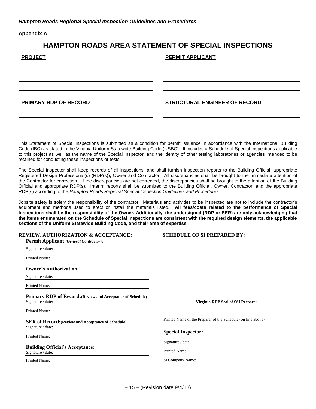**Appendix A**

#### **HAMPTON ROADS AREA STATEMENT OF SPECIAL INSPECTIONS**

| <b>PROJECT</b>        | <b>PERMIT APPLICANT</b>              |
|-----------------------|--------------------------------------|
|                       |                                      |
| PRIMARY RDP OF RECORD | <b>STRUCTURAL ENGINEER OF RECORD</b> |
|                       |                                      |

This Statement of Special Inspections is submitted as a condition for permit issuance in accordance with the International Building Code (IBC) as stated in the Virginia Uniform Statewide Building Code (USBC). It includes a Schedule of Special Inspections applicable to this project as well as the name of the Special Inspector, and the identity of other testing laboratories or agencies intended to be retained for conducting these inspections or tests.

The Special Inspector shall keep records of all inspections, and shall furnish inspection reports to the Building Official, appropriate Registered Design Professional(s) (RDP(s)), Owner and Contractor. All discrepancies shall be brought to the immediate attention of the Contractor for correction. If the discrepancies are not corrected, the discrepancies shall be brought to the attention of the Building Official and appropriate RDP(s). Interim reports shall be submitted to the Building Official, Owner, Contractor, and the appropriate RDP(s) according to the *Hampton Roads Regional Special Inspection Guidelines and Procedures*.

Jobsite safety is solely the responsibility of the contractor. Materials and activities to be inspected are not to include the contractor's equipment and methods used to erect or install the materials listed. **All fees/costs related to the performance of Special Inspections shall be the responsibility of the Owner. Additionally, the undersigned (RDP or SER) are only acknowledging that the items enumerated on the Schedule of Special Inspections are consistent with the required design elements, the applicable sections of the Uniform Statewide Building Code, and their area of expertise.**

| <b>REVIEW, AUTHORIZATION &amp; ACCEPTANCE:</b><br><b>Permit Applicant (General Contractor):</b> | <b>SCHEDULE OF SI PREPARED BY:</b>                           |
|-------------------------------------------------------------------------------------------------|--------------------------------------------------------------|
| Signature / date:                                                                               |                                                              |
| Printed Name:                                                                                   |                                                              |
| <b>Owner's Authorization:</b>                                                                   |                                                              |
| Signature / date:                                                                               |                                                              |
| Printed Name:                                                                                   |                                                              |
| <b>Primary RDP of Record:</b> (Review and Acceptance of Schedule)<br>Signature / date:          | Virginia RDP Seal of SSI Preparer                            |
| Printed Name:                                                                                   |                                                              |
| <b>SER of Record: (Review and Acceptance of Schedule)</b><br>Signature / date:                  | Printed Name of the Preparer of the Schedule (on line above) |
| Printed Name:                                                                                   | <b>Special Inspector:</b>                                    |
| <b>Building Official's Acceptance:</b>                                                          | Signature / date:                                            |
| Signature / date:                                                                               | Printed Name:                                                |
| Printed Name:                                                                                   | SI Company Name:                                             |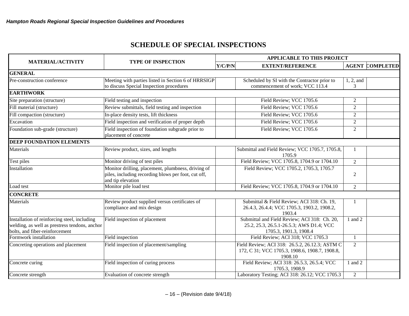## **SCHEDULE OF SPECIAL INSPECTIONS**

|                                                                                                                                 |                                                                                                                                | <b>APPLICABLE TO THIS PROJECT</b> |                                                                                                                    |                        |  |
|---------------------------------------------------------------------------------------------------------------------------------|--------------------------------------------------------------------------------------------------------------------------------|-----------------------------------|--------------------------------------------------------------------------------------------------------------------|------------------------|--|
| <b>MATERIAL/ACTIVITY</b>                                                                                                        | <b>TYPE OF INSPECTION</b>                                                                                                      |                                   | Y/C/P/N<br><b>EXTENT/REFERENCE</b>                                                                                 | <b>AGENT COMPLETED</b> |  |
| <b>GENERAL</b>                                                                                                                  |                                                                                                                                |                                   |                                                                                                                    |                        |  |
| Pre-construction conference                                                                                                     | Meeting with parties listed in Section 6 of HRRSIGP<br>to discuss Special Inspection procedures                                |                                   | Scheduled by SI with the Contractor prior to<br>commencement of work; VCC 113.4                                    | 1, 2, and<br>3         |  |
| <b>EARTHWORK</b>                                                                                                                |                                                                                                                                |                                   |                                                                                                                    |                        |  |
| Site preparation (structure)                                                                                                    | Field testing and inspection                                                                                                   |                                   | Field Review; VCC 1705.6                                                                                           | 2                      |  |
| Fill material (structure)                                                                                                       | Review submittals, field testing and inspection                                                                                |                                   | Field Review; VCC 1705.6                                                                                           | $\overline{2}$         |  |
| Fill compaction (structure)                                                                                                     | In-place density tests, lift thickness                                                                                         |                                   | Field Review; VCC 1705.6                                                                                           | $\overline{2}$         |  |
| Excavation                                                                                                                      | Field inspection and verification of proper depth                                                                              |                                   | Field Review; VCC 1705.6                                                                                           | 2                      |  |
| Foundation sub-grade (structure)                                                                                                | Field inspection of foundation subgrade prior to<br>placement of concrete                                                      |                                   | Field Review; VCC 1705.6                                                                                           | $\overline{2}$         |  |
| <b>DEEP FOUNDATION ELEMENTS</b>                                                                                                 |                                                                                                                                |                                   |                                                                                                                    |                        |  |
| Materials                                                                                                                       | Review product, sizes, and lengths                                                                                             |                                   | Submittal and Field Review; VCC 1705.7, 1705.8,<br>1705.9                                                          | 1                      |  |
| Test piles                                                                                                                      | Monitor driving of test piles                                                                                                  |                                   | Field Review; VCC 1705.8, 1704.9 or 1704.10                                                                        | $\overline{2}$         |  |
| Installation                                                                                                                    | Monitor drilling, placement, plumbness, driving of<br>piles, including recording blows per foot, cut off,<br>and tip elevation |                                   | Field Review; VCC 1705.2, 1705.3, 1705.7                                                                           | 2                      |  |
| Load test                                                                                                                       | Monitor pile load test                                                                                                         |                                   | Field Review; VCC 1705.8, 1704.9 or 1704.10                                                                        | 2                      |  |
| <b>CONCRETE</b>                                                                                                                 |                                                                                                                                |                                   |                                                                                                                    |                        |  |
| Materials                                                                                                                       | Review product supplied versus certificates of<br>compliance and mix design                                                    |                                   | Submittal & Field Review; ACI 318: Ch. 19,<br>26.4.3, 26.4.4; VCC 1705.3, 1903.2, 1908.2,<br>1903.4                | $\mathbf{1}$           |  |
| Installation of reinforcing steel, including<br>welding, as well as prestress tendons, anchor<br>bolts, and fiber-reinforcement | Field inspection of placement                                                                                                  |                                   | Submittal and Field Review; ACI 318: Ch. 20,<br>25.2, 25.3, 26.5.1-26.5.3; AWS D1.4; VCC<br>1705.3, 1901.3, 1908.4 | 1 and 2                |  |
| Formwork installation                                                                                                           | Field inspection                                                                                                               |                                   | Field Review; ACI 318; VCC 1705.3                                                                                  | $\mathbf{1}$           |  |
| Concreting operations and placement                                                                                             | Field inspection of placement/sampling                                                                                         |                                   | Field Review; ACI 318: 26.5.2, 26.12.3; ASTM C<br>172, C 31; VCC 1705.3, 1908.6, 1908.7, 1908.8,<br>1908.10        | $\overline{2}$         |  |
| Concrete curing                                                                                                                 | Field inspection of curing process                                                                                             |                                   | Field Review; ACI 318: 26.5.3, 26.5.4; VCC<br>1705.3, 1908.9                                                       | 1 and 2                |  |
| Concrete strength                                                                                                               | Evaluation of concrete strength                                                                                                |                                   | Laboratory Testing; ACI 318: 26.12; VCC 1705.3                                                                     | $\overline{2}$         |  |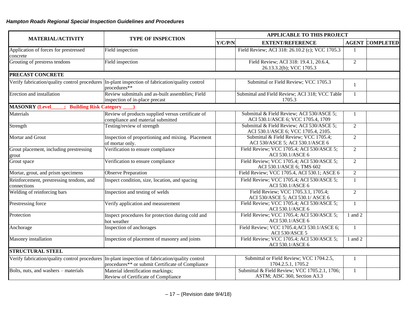|                                                         |                                                                                                                                                      | <b>APPLICABLE TO THIS PROJECT</b> |                                                                                  |                |                        |
|---------------------------------------------------------|------------------------------------------------------------------------------------------------------------------------------------------------------|-----------------------------------|----------------------------------------------------------------------------------|----------------|------------------------|
| <b>MATERIAL/ACTIVITY</b>                                | <b>TYPE OF INSPECTION</b>                                                                                                                            | Y/C/P/N                           | <b>EXTENT/REFERENCE</b>                                                          |                | <b>AGENT COMPLETED</b> |
| Application of forces for prestressed<br>concrete       | Field inspection                                                                                                                                     |                                   | Field Review; ACI 318: 26.10.2 (c); VCC 1705.3                                   | $\mathbf{1}$   |                        |
| Grouting of prestress tendons                           | Field inspection                                                                                                                                     |                                   | Field Review; ACI 318: 19.4.1, 20.6.4,<br>26.13.3.2(b); VCC 1705.3               | $\overline{2}$ |                        |
| PRECAST CONCRETE                                        |                                                                                                                                                      |                                   |                                                                                  |                |                        |
|                                                         | Verify fabrication/quality control procedures In-plant inspection of fabrication/quality control<br>procedures**                                     |                                   | Submittal or Field Review; VCC 1705.3                                            | 1              |                        |
| Erection and installation                               | Review submittals and as-built assemblies; Field<br>inspection of in-place precast                                                                   |                                   | Submittal and Field Review; ACI 318; VCC Table<br>1705.3                         | $\mathbf{1}$   |                        |
| <b>MASONRY (Level)</b><br><b>Building Risk Category</b> |                                                                                                                                                      |                                   |                                                                                  |                |                        |
| Materials                                               | Review of products supplied versus certificate of<br>compliance and material submitted                                                               |                                   | Submittal & Field Review; ACI 530/ASCE 5;<br>ACI 530.1/ASCE 6; VCC 1705.4, 1709  | 1              |                        |
| Strength                                                | Testing/review of strength                                                                                                                           |                                   | Submittal & Field Review; ACI 530/ASCE 5;<br>ACI 530.1/ASCE 6; VCC 1705.4, 2105. | $\overline{2}$ |                        |
| Mortar and Grout                                        | Inspection of proportioning and mixing. Placement<br>of mortar only.                                                                                 |                                   | Submittal & Field Review; VCC 1705.4;<br>ACI 530/ASCE 5; ACI 530.1/ASCE 6        | $\overline{2}$ |                        |
| Grout placement, including prestressing<br>grout        | Verification to ensure compliance                                                                                                                    |                                   | Field Review; VCC 1705.4; ACI 530/ASCE 5;<br>ACI 530.1/ASCE 6                    | $\overline{2}$ |                        |
| Grout space                                             | Verification to ensure compliance                                                                                                                    |                                   | Field Review; VCC 1705.4; ACI 530/ASCE 5;<br>ACI 530.1/ASCE 6; TMS 602           | $\overline{2}$ |                        |
| Mortar, grout, and prism specimens                      | <b>Observe Preparation</b>                                                                                                                           |                                   | Field Review; VCC 1705.4, ACI 530.1; ASCE 6                                      | $\overline{2}$ |                        |
| Reinforcement, prestressing tendons, and<br>connections | Inspect condition, size, location, and spacing                                                                                                       |                                   | Field Review; VCC 1705.4; ACI 530/ASCE 5;<br>ACI 530.1/ASCE 6                    | 1              |                        |
| Welding of reinforcing bars                             | Inspection and testing of welds                                                                                                                      |                                   | Field Review; VCC 1705.3.1, 1705.4;<br>ACI 530/ASCE 5; ACI 530.1/ ASCE 6         | $\overline{2}$ |                        |
| Prestressing force                                      | Verify application and measurement                                                                                                                   |                                   | Field Review; VCC 1705.4; ACI 530/ASCE 5;<br>ACI 530.1/ASCE 6                    | $\mathbf{1}$   |                        |
| Protection                                              | Inspect procedures for protection during cold and<br>hot weather                                                                                     |                                   | Field Review; VCC 1705.4; ACI 530/ASCE 5;<br>ACI 530.1/ASCE 6                    | 1 and $2$      |                        |
| Anchorage                                               | Inspection of anchorages                                                                                                                             |                                   | Field Review; VCC 1705.4; ACI 530.1/ASCE 6;<br>ACI 530/ASCE 5                    | $\mathbf{1}$   |                        |
| Masonry installation                                    | Inspection of placement of masonry and joints                                                                                                        |                                   | Field Review; VCC 1705.4; ACI 530/ASCE 5;<br>ACI 530.1/ASCE 6                    | 1 and 2        |                        |
| <b>STRUCTURAL STEEL</b>                                 |                                                                                                                                                      |                                   |                                                                                  |                |                        |
|                                                         | Verify fabrication/quality control procedures In-plant inspection of fabrication/quality control<br>procedures** or submit Certificate of Compliance |                                   | Submittal or Field Review; VCC 1704.2.5,<br>1704.2.5.1, 1705.2                   | 1              |                        |
| Bolts, nuts, and washers - materials                    | Material identification markings;<br>Review of Certificate of Compliance                                                                             |                                   | Submittal & Field Review; VCC 1705.2.1, 1706;<br>ASTM; AISC 360, Section A3.3    | $\mathbf{1}$   |                        |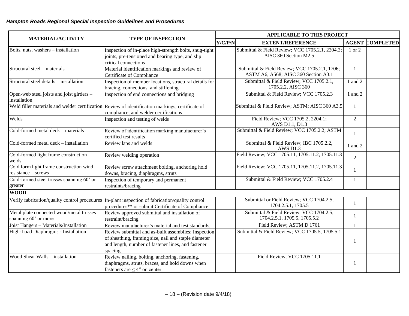$\sim$ 

|                                                                  | <b>TYPE OF INSPECTION</b><br>Y/C/P/N                                                                                                      |  | <b>APPLICABLE TO THIS PROJECT</b>                                                     |                |                        |  |
|------------------------------------------------------------------|-------------------------------------------------------------------------------------------------------------------------------------------|--|---------------------------------------------------------------------------------------|----------------|------------------------|--|
| <b>MATERIAL/ACTIVITY</b>                                         |                                                                                                                                           |  | <b>EXTENT/REFERENCE</b>                                                               |                | <b>AGENT COMPLETED</b> |  |
| Bolts, nuts, washers - installation                              | Inspection of in-place high-strength bolts, snug-tight<br>joints, pre-tensioned and bearing type, and slip                                |  | Submittal & Field Review; VCC 1705.2.1, 2204.2;<br>AISC 360 Section M2.5              | 1 or 2         |                        |  |
|                                                                  | critical connections                                                                                                                      |  |                                                                                       |                |                        |  |
| Structural steel - materials                                     | Material identification markings and review of<br>Certificate of Compliance                                                               |  | Submittal & Field Review; VCC 1705.2.1, 1706;<br>ASTM A6, A568; AISC 360 Section A3.1 | $\mathbf{1}$   |                        |  |
| Structural steel details - installation                          | Inspection of member locations, structural details for<br>bracing, connections, and stiffening                                            |  | Submittal & Field Review; VCC 1705.2.1,<br>1705.2.2, AISC 360                         | 1 and 2        |                        |  |
| Open-web steel joists and joist girders -<br>installation        | Inspection of end connections and bridging                                                                                                |  | Submittal & Field Review; VCC 1705.2.3                                                | 1 and 2        |                        |  |
|                                                                  | Weld filler materials and welder certification Review of identification markings, certificate of<br>compliance, and welder certifications |  | Submittal & Field Review; ASTM; AISC 360 A3.5                                         | $\mathbf{1}$   |                        |  |
| Welds                                                            | Inspection and testing of welds                                                                                                           |  | Field Review; VCC 1705.2, 2204.1;<br>AWS D1.1, D1.3                                   | $\overline{2}$ |                        |  |
| Cold-formed metal deck - materials                               | Review of identification marking manufacturer's<br>certified test results                                                                 |  | Submittal & Field Review; VCC 1705.2.2; ASTM                                          | $\mathbf{1}$   |                        |  |
| Cold-formed metal deck - installation                            | Review laps and welds                                                                                                                     |  | Submittal & Field Review; IBC 1705.2.2,<br><b>AWS D1.3</b>                            | 1 and 2        |                        |  |
| Cold-formed light frame construction -<br>welds                  | Review welding operation                                                                                                                  |  | Field Review; VCC 1705.11, 1705.11.2, 1705.11.3                                       | $\overline{2}$ |                        |  |
| Cold form light frame construction wind<br>resistance – screws   | Review screw attachment bolting, anchoring hold<br>downs, bracing, diaphragms, struts                                                     |  | Field Review; VCC 1705.11, 1705.11.2, 1705.11.3                                       | -1             |                        |  |
| Cold-formed steel trusses spanning 60' or<br>greater             | Inspection of temporary and permanent<br>restraints/bracing                                                                               |  | Submittal & Field Review; VCC 1705.2.4                                                | 1              |                        |  |
| <b>WOOD</b>                                                      |                                                                                                                                           |  |                                                                                       |                |                        |  |
| Verify fabrication/quality control procedures                    | In-plant inspection of fabrication/quality control<br>procedures** or submit Certificate of Compliance                                    |  | Submittal or Field Review; VCC 1704.2.5,<br>1704.2.5.1, 1705.5                        | -1             |                        |  |
| Metal plate connected wood/metal trusses<br>spanning 60' or more | Review approved submittal and installation of<br>restraint/bracing                                                                        |  | Submittal & Field Review; VCC 1704.2.5,<br>1704.2.5.1, 1705.5, 1705.5.2               | $\mathbf{1}$   |                        |  |
| Joist Hangers - Materials/Installation                           | Review manufacturer's material and test standards,                                                                                        |  | Field Review; ASTM D 1761                                                             | 1              |                        |  |
| High-Load Diaphragms - Installation                              | Review submittal and as-built assemblies; Inspection                                                                                      |  | Submittal & Field Review; VCC 1705.5, 1705.5.1                                        |                |                        |  |
|                                                                  | of sheathing, framing size, nail and staple diameter<br>and length, number of fastener lines, and fastener<br>spacing.                    |  |                                                                                       | -1             |                        |  |
| Wood Shear Walls - installation                                  | Review nailing, bolting, anchoring, fastening,<br>diaphragms, struts, braces, and hold downs when<br>fasteners are $<$ 4" on center.      |  | Field Review; VCC 1705.11.1                                                           | $\mathbf{1}$   |                        |  |

÷.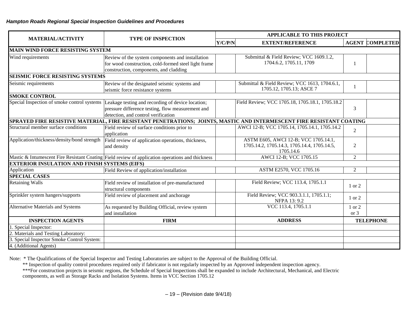|                                                      |                                                                                                                                                    | <b>APPLICABLE TO THIS PROJECT</b> |                                                                                                  |                        |  |
|------------------------------------------------------|----------------------------------------------------------------------------------------------------------------------------------------------------|-----------------------------------|--------------------------------------------------------------------------------------------------|------------------------|--|
| <b>MATERIAL/ACTIVITY</b>                             | <b>TYPE OF INSPECTION</b>                                                                                                                          | Y/C/P/N                           | <b>EXTENT/REFERENCE</b>                                                                          | <b>AGENT COMPLETED</b> |  |
| <b>MAIN WIND FORCE RESISTING SYSTEM</b>              |                                                                                                                                                    |                                   |                                                                                                  |                        |  |
| Wind requirements                                    | Review of the system components and installation<br>for wood construction, cold-formed steel light frame<br>construction, components, and cladding |                                   | Submittal & Field Review; VCC 1609.1.2,<br>1704.6.2, 1705.11, 1709                               | $\mathbf{1}$           |  |
| <b>SEISMIC FORCE RESISTING SYSTEMS</b>               |                                                                                                                                                    |                                   |                                                                                                  |                        |  |
| Seismic requirements                                 | Review of the designated seismic systems and<br>seismic force resistance systems                                                                   |                                   | Submittal & Field Review; VCC 1613, 1704.6.1,<br>1705.12, 1705.13; ASCE 7                        | 1                      |  |
| <b>SMOKE CONTROL</b>                                 |                                                                                                                                                    |                                   |                                                                                                  |                        |  |
| Special Inspection of smoke control systems          | Leakage testing and recording of device location;<br>pressure difference testing, flow measurement and<br>detection, and control verification      |                                   | Field Review; VCC 1705.18, 1705.18.1, 1705.18.2                                                  | 3                      |  |
|                                                      | SPRAYED FIRE RESISTIVE MATERIAL, FIRE RESISTANT PENETRATIONS; JOINTS, MASTIC AND INTERMESCENT FIRE RESISTANT COATING                               |                                   |                                                                                                  |                        |  |
| Structural member surface conditions                 | Field review of surface conditions prior to<br>application                                                                                         |                                   | AWCI 12-B; VCC 1705.14, 1705.14.1, 1705.14.2                                                     | $\mathbf{2}$           |  |
| Application/thickness/density/bond strength          | Field review of application operations, thickness,<br>and density                                                                                  |                                   | ASTM E605, AWCI 12-B; VCC 1705.14.1,<br>1705.14.2, 1705.14.3, 1705.14.4, 1705.14.5,<br>1705.14.6 | 2                      |  |
|                                                      | Mastic & Intumescent Fire Resistant Coating Field review of application operations and thickness                                                   |                                   | AWCI 12-B; VCC 1705.15                                                                           | $\overline{2}$         |  |
| <b>EXTERIOR INSULATION AND FINISH SYSTEMS (EIFS)</b> |                                                                                                                                                    |                                   |                                                                                                  |                        |  |
| Application                                          | Field Review of application/installation                                                                                                           |                                   | ASTM E2570, VCC 1705.16                                                                          | $\overline{2}$         |  |
| <b>SPECIAL CASES</b>                                 |                                                                                                                                                    |                                   |                                                                                                  |                        |  |
| <b>Retaining Walls</b>                               | Field review of installation of pre-manufactured<br>structural components                                                                          |                                   | Field Review; VCC 113.4, 1705.1.1                                                                | 1 or 2                 |  |
| Sprinkler system hangers/supports                    | Field review of placement and anchorage                                                                                                            |                                   | Field Review; VCC 903.3.1.1, 1705.1.1;<br>NFPA 13: 9.2                                           | 1 or 2                 |  |
| <b>Alternative Materials and Systems</b>             | As requested by Building Official, review system<br>and installation                                                                               |                                   | VCC 113.4, 1705.1.1                                                                              | 1 or 2<br>or 3         |  |
| <b>INSPECTION AGENTS</b>                             | <b>FIRM</b>                                                                                                                                        |                                   | <b>ADDRESS</b>                                                                                   | <b>TELEPHONE</b>       |  |
| 1. Special Inspector:                                |                                                                                                                                                    |                                   |                                                                                                  |                        |  |
| 2. Materials and Testing Laboratory:                 |                                                                                                                                                    |                                   |                                                                                                  |                        |  |
| Special Inspector Smoke Control System:              |                                                                                                                                                    |                                   |                                                                                                  |                        |  |
| 4. (Additional Agents)                               |                                                                                                                                                    |                                   |                                                                                                  |                        |  |

Note: \* The Qualifications of the Special Inspector and Testing Laboratories are subject to the Approval of the Building Official.

\*\* Inspection of quality control procedures required only if fabricator is not regularly inspected by an Approved independent inspection agency.

\*\*\*For construction projects in seismic regions, the Schedule of Special Inspections shall be expanded to include Architectural, Mechanical, and Electric components, as well as Storage Racks and Isolation Systems. Items in VCC Section 1705.12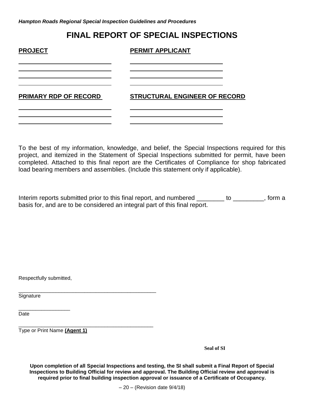## **FINAL REPORT OF SPECIAL INSPECTIONS**

| <b>PROJECT</b>               | <b>PERMIT APPLICANT</b>              |
|------------------------------|--------------------------------------|
|                              |                                      |
| <b>PRIMARY RDP OF RECORD</b> | <b>STRUCTURAL ENGINEER OF RECORD</b> |
|                              |                                      |

To the best of my information, knowledge, and belief, the Special Inspections required for this project, and itemized in the Statement of Special Inspections submitted for permit, have been completed. Attached to this final report are the Certificates of Compliance for shop fabricated load bearing members and assemblies. (Include this statement only if applicable).

Interim reports submitted prior to this final report, and numbered \_\_\_\_\_\_\_\_ to \_\_\_\_\_\_\_\_, form a basis for, and are to be considered an integral part of this final report.

Respectfully submitted,

\_\_\_\_\_\_\_\_\_\_\_\_\_\_\_\_\_\_

**Signature** 

Date **Date** and the contract of the contract of the contract of the contract of the contract of the contract of the contract of the contract of the contract of the contract of the contract of the contract of the contract o

\_\_\_\_\_\_\_\_\_\_\_\_\_\_\_\_\_\_\_\_\_\_\_\_\_\_\_\_\_\_\_\_\_\_\_\_\_\_\_\_\_\_\_\_\_\_\_ Type or Print Name **(Agent 1)**

\_\_\_\_\_\_\_\_\_\_\_\_\_\_\_\_\_\_\_\_\_\_\_\_\_\_\_\_\_\_\_\_\_\_\_\_\_\_\_\_\_\_\_\_\_\_\_\_

**Seal of SI**

**Upon completion of all Special Inspections and testing, the SI shall submit a Final Report of Special Inspections to Building Official for review and approval. The Building Official review and approval is required prior to final building inspection approval or issuance of a Certificate of Occupancy.**